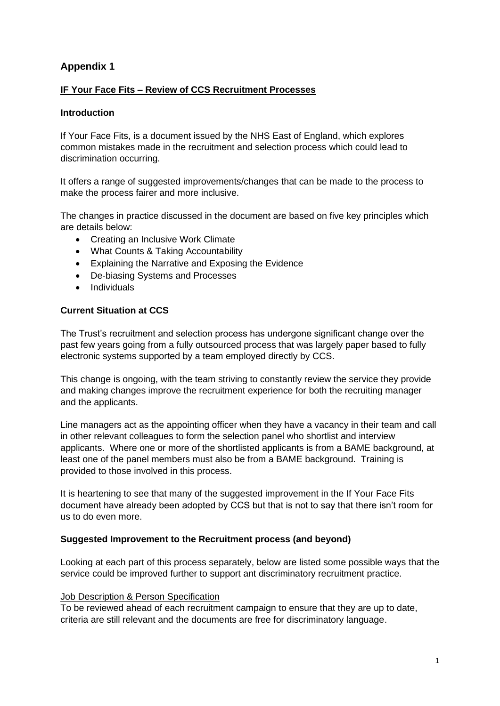# **Appendix 1**

# **IF Your Face Fits – Review of CCS Recruitment Processes**

# **Introduction**

If Your Face Fits, is a document issued by the NHS East of England, which explores common mistakes made in the recruitment and selection process which could lead to discrimination occurring.

It offers a range of suggested improvements/changes that can be made to the process to make the process fairer and more inclusive.

The changes in practice discussed in the document are based on five key principles which are details below:

- Creating an Inclusive Work Climate
- What Counts & Taking Accountability
- Explaining the Narrative and Exposing the Evidence
- De-biasing Systems and Processes
- Individuals

# **Current Situation at CCS**

The Trust's recruitment and selection process has undergone significant change over the past few years going from a fully outsourced process that was largely paper based to fully electronic systems supported by a team employed directly by CCS.

This change is ongoing, with the team striving to constantly review the service they provide and making changes improve the recruitment experience for both the recruiting manager and the applicants.

Line managers act as the appointing officer when they have a vacancy in their team and call in other relevant colleagues to form the selection panel who shortlist and interview applicants. Where one or more of the shortlisted applicants is from a BAME background, at least one of the panel members must also be from a BAME background. Training is provided to those involved in this process.

It is heartening to see that many of the suggested improvement in the If Your Face Fits document have already been adopted by CCS but that is not to say that there isn't room for us to do even more.

# **Suggested Improvement to the Recruitment process (and beyond)**

Looking at each part of this process separately, below are listed some possible ways that the service could be improved further to support ant discriminatory recruitment practice.

# Job Description & Person Specification

To be reviewed ahead of each recruitment campaign to ensure that they are up to date, criteria are still relevant and the documents are free for discriminatory language.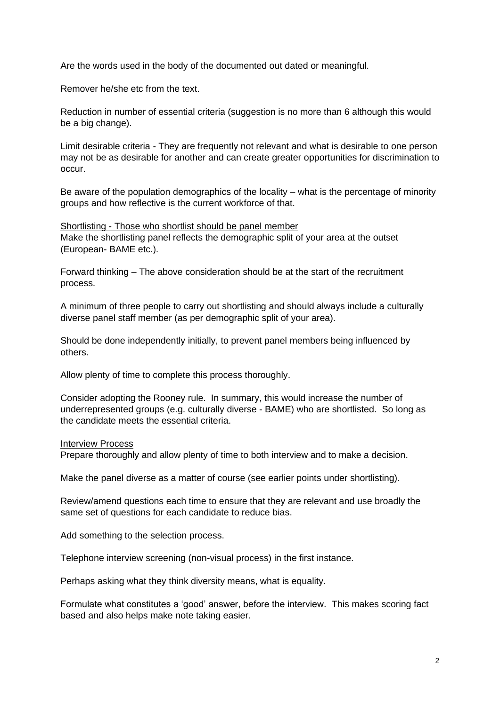Are the words used in the body of the documented out dated or meaningful.

Remover he/she etc from the text.

Reduction in number of essential criteria (suggestion is no more than 6 although this would be a big change).

Limit desirable criteria - They are frequently not relevant and what is desirable to one person may not be as desirable for another and can create greater opportunities for discrimination to occur.

Be aware of the population demographics of the locality – what is the percentage of minority groups and how reflective is the current workforce of that.

Shortlisting - Those who shortlist should be panel member Make the shortlisting panel reflects the demographic split of your area at the outset (European- BAME etc.).

Forward thinking – The above consideration should be at the start of the recruitment process.

A minimum of three people to carry out shortlisting and should always include a culturally diverse panel staff member (as per demographic split of your area).

Should be done independently initially, to prevent panel members being influenced by others.

Allow plenty of time to complete this process thoroughly.

Consider adopting the Rooney rule. In summary, this would increase the number of underrepresented groups (e.g. culturally diverse - BAME) who are shortlisted. So long as the candidate meets the essential criteria.

#### Interview Process

Prepare thoroughly and allow plenty of time to both interview and to make a decision.

Make the panel diverse as a matter of course (see earlier points under shortlisting).

Review/amend questions each time to ensure that they are relevant and use broadly the same set of questions for each candidate to reduce bias.

Add something to the selection process.

Telephone interview screening (non-visual process) in the first instance.

Perhaps asking what they think diversity means, what is equality.

Formulate what constitutes a 'good' answer, before the interview. This makes scoring fact based and also helps make note taking easier.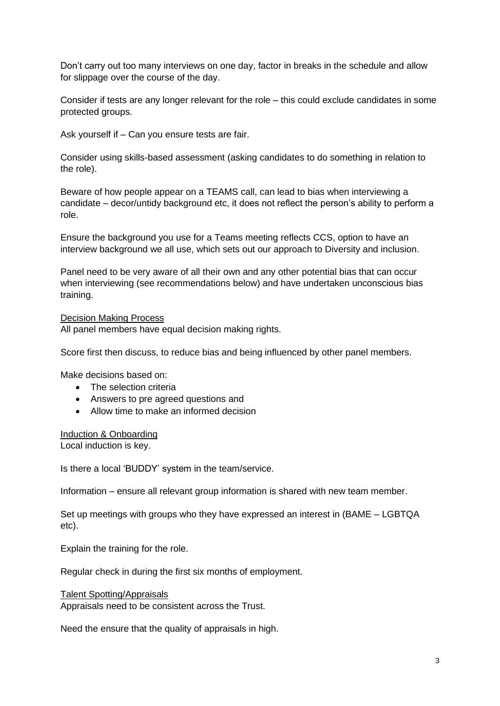Don't carry out too many interviews on one day, factor in breaks in the schedule and allow for slippage over the course of the day.

Consider if tests are any longer relevant for the role – this could exclude candidates in some protected groups.

Ask yourself if – Can you ensure tests are fair.

Consider using skills-based assessment (asking candidates to do something in relation to the role).

Beware of how people appear on a TEAMS call, can lead to bias when interviewing a candidate – decor/untidy background etc, it does not reflect the person's ability to perform a role.

Ensure the background you use for a Teams meeting reflects CCS, option to have an interview background we all use, which sets out our approach to Diversity and inclusion.

Panel need to be very aware of all their own and any other potential bias that can occur when interviewing (see recommendations below) and have undertaken unconscious bias training.

### Decision Making Process

All panel members have equal decision making rights.

Score first then discuss, to reduce bias and being influenced by other panel members.

Make decisions based on:

- The selection criteria
- Answers to pre agreed questions and
- Allow time to make an informed decision

#### Induction & Onboarding

Local induction is key.

Is there a local 'BUDDY' system in the team/service.

Information – ensure all relevant group information is shared with new team member.

Set up meetings with groups who they have expressed an interest in (BAME – LGBTQA etc).

Explain the training for the role.

Regular check in during the first six months of employment.

Talent Spotting/Appraisals Appraisals need to be consistent across the Trust.

Need the ensure that the quality of appraisals in high.